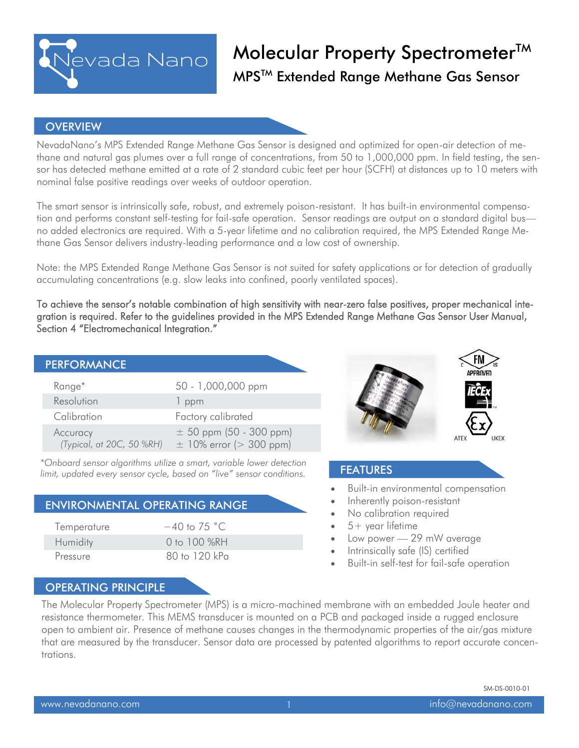

### **OVERVIEW**

NevadaNano's MPS Extended Range Methane Gas Sensor is designed and optimized for open-air detection of methane and natural gas plumes over a full range of concentrations, from 50 to 1,000,000 ppm. In field testing, the sensor has detected methane emitted at a rate of 2 standard cubic feet per hour (SCFH) at distances up to 10 meters with nominal false positive readings over weeks of outdoor operation.

The smart sensor is intrinsically safe, robust, and extremely poison-resistant. It has built-in environmental compensation and performs constant self-testing for fail-safe operation. Sensor readings are output on a standard digital bus no added electronics are required. With a 5-year lifetime and no calibration required, the MPS Extended Range Methane Gas Sensor delivers industry-leading performance and a low cost of ownership.

Note: the MPS Extended Range Methane Gas Sensor is not suited for safety applications or for detection of gradually accumulating concentrations (e.g. slow leaks into confined, poorly ventilated spaces).

To achieve the sensor's notable combination of high sensitivity with near-zero false positives, proper mechanical integration is required. Refer to the guidelines provided in the MPS Extended Range Methane Gas Sensor User Manual, Section 4 "Electromechanical Integration."

### PERFORMANCE<sup>1</sup>

| Range <sup>*</sup>                    | 50 - 1,000,000 ppm                                         |
|---------------------------------------|------------------------------------------------------------|
| Resolution                            | 1 ppm                                                      |
| Calibration                           | Factory calibrated                                         |
| Accuracy<br>(Typical, at 20C, 50 %RH) | $\pm$ 50 ppm (50 - 300 ppm)<br>$\pm$ 10% error (> 300 ppm) |

*\*Onboard sensor algorithms utilize a smart, variable lower detection limit, updated every sensor cycle, based on "live" sensor conditions.* 

|  | <b>ENVIRONMENTAL OPERATING RANGE</b> |
|--|--------------------------------------|
|  |                                      |

| Temperature | $-40$ to 75 °C. |
|-------------|-----------------|
| Humidity    | 0 to 100 $%RH$  |
| Pressure    | 80 to 120 kPa   |



### FEATURES

- Built-in environmental compensation
- Inherently poison-resistant
- No calibration required
- 5+ year lifetime
- Low power 29 mW average
- Intrinsically safe (IS) certified
- Built-in self-test for fail-safe operation

### OPERATING PRINCIPLE

The Molecular Property Spectrometer (MPS) is a micro-machined membrane with an embedded Joule heater and resistance thermometer. This MEMS transducer is mounted on a PCB and packaged inside a rugged enclosure open to ambient air. Presence of methane causes changes in the thermodynamic properties of the air/gas mixture that are measured by the transducer. Sensor data are processed by patented algorithms to report accurate concentrations.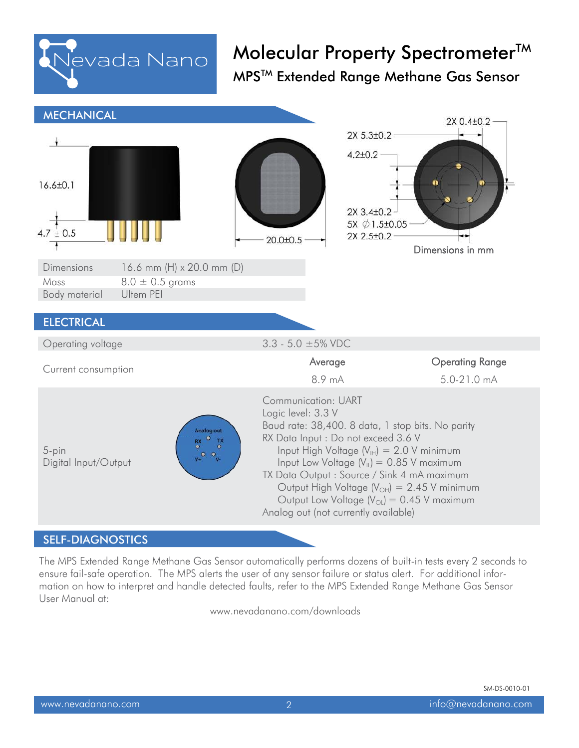

| <b>MECHANICAL</b>                                         |                                                                |                                                  |                                                                                                                                                                                                                                                                                                                                                                                           | 2X 0.4±0.2                            |
|-----------------------------------------------------------|----------------------------------------------------------------|--------------------------------------------------|-------------------------------------------------------------------------------------------------------------------------------------------------------------------------------------------------------------------------------------------------------------------------------------------------------------------------------------------------------------------------------------------|---------------------------------------|
| $16.6 \pm 0.1$<br>4.7 $\pm$ 0.5                           |                                                                | $20.0 + 0.5$                                     | 2X 5.3±0.2<br>$4.2 \pm 0.2$<br>2X 3.4±0.2<br>5X Ø 1.5±0.05<br>2X 2.5±0.2                                                                                                                                                                                                                                                                                                                  |                                       |
| <b>Dimensions</b>                                         | 16.6 mm (H) x 20.0 mm (D)                                      |                                                  |                                                                                                                                                                                                                                                                                                                                                                                           | Dimensions in mm                      |
| $8.0 \pm 0.5$ grams<br>Mass<br>Ultem PEI<br>Body material |                                                                |                                                  |                                                                                                                                                                                                                                                                                                                                                                                           |                                       |
| <b>ELECTRICAL</b>                                         |                                                                |                                                  |                                                                                                                                                                                                                                                                                                                                                                                           |                                       |
| Operating voltage                                         |                                                                | $3.3 - 5.0 \pm 5\%$ VDC                          |                                                                                                                                                                                                                                                                                                                                                                                           |                                       |
| Current consumption                                       |                                                                |                                                  | Average<br>8.9 mA                                                                                                                                                                                                                                                                                                                                                                         | <b>Operating Range</b><br>5.0-21.0 mA |
| 5-pin<br>Digital Input/Output                             | Analog out<br>TX<br>$_{\odot}^{RX}$<br><b>V+O</b><br>$\bullet$ | <b>Communication: UART</b><br>Logic level: 3.3 V | Baud rate: 38,400. 8 data, 1 stop bits. No parity<br>RX Data Input : Do not exceed 3.6 V<br>Input High Voltage $(V_H) = 2.0 V$ minimum<br>Input Low Voltage $(V_{\parallel})$ = 0.85 V maximum<br>TX Data Output: Source / Sink 4 mA maximum<br>Output High Voltage $(V_{OH}) = 2.45$ V minimum<br>Output Low Voltage $(V_{OL}) = 0.45$ V maximum<br>Analog out (not currently available) |                                       |
|                                                           |                                                                |                                                  |                                                                                                                                                                                                                                                                                                                                                                                           |                                       |

#### SELF-DIAGNOSTICS

The MPS Extended Range Methane Gas Sensor automatically performs dozens of built-in tests every 2 seconds to ensure fail-safe operation. The MPS alerts the user of any sensor failure or status alert. For additional information on how to interpret and handle detected faults, refer to the MPS Extended Range Methane Gas Sensor User Manual at:

www.nevadanano.com/downloads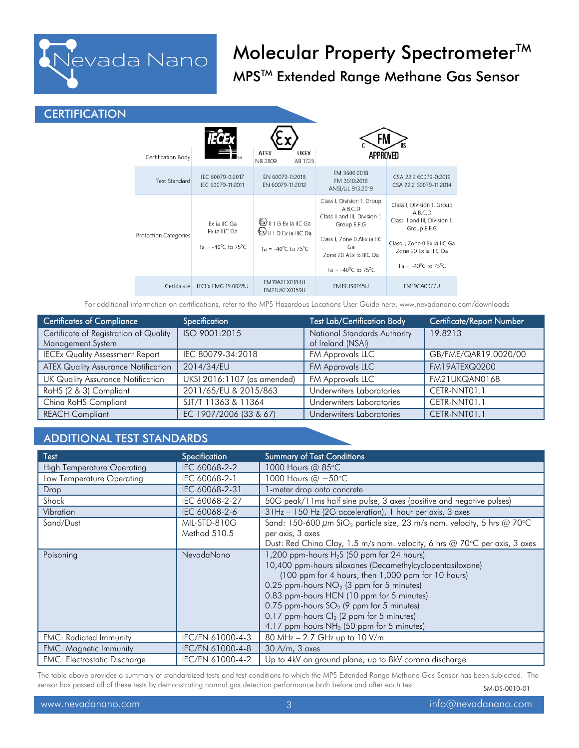

### **CERTIFICATION**

| Certification Body    |                                                     | <b>ATEX</b><br><b>UKEX</b><br>NB 2809<br>AB 1725                                    | APPROVED                                                                                                                                                                                        |                                                                                                                                                                                |
|-----------------------|-----------------------------------------------------|-------------------------------------------------------------------------------------|-------------------------------------------------------------------------------------------------------------------------------------------------------------------------------------------------|--------------------------------------------------------------------------------------------------------------------------------------------------------------------------------|
| <b>Test Standard</b>  | IEC 60079-0:2017<br>IEC 60079-11:2011               | EN 60079-0:2018<br>EN 60079-11:2012                                                 | FM 3600:2018<br>FM 3610:2018<br>ANSI/UL 913:2019                                                                                                                                                | CSA 22.2 60079-0:2019<br>CSA 22.2 60079-11:2014                                                                                                                                |
| Protection Categories | Ex ia IIC Ga<br>Ex ia IIIC Da<br>Ta = -40°C to 75°C | Ex)    1 G Ex ia IIC Ga<br>Ex)    1 D Ex ia IIIC Da<br>Ta = $-40^{\circ}$ C to 75°C | Class I, Division 1, Group<br>A,B,C,D<br>Class II and III, Division 1,<br>Group E,F,G<br>Class I, Zone 0 AEx ia IIC<br>Ga<br>Zone 20 AEx ia IIIC Da<br>Ta = -40 $^{\circ}$ C to 75 $^{\circ}$ C | Class I, Division 1, Group<br>A,B,C,D<br>Class II and III, Division 1,<br>Group E,F,G<br>Class I, Zone 0 Ex ia IIC Ga<br>Zone 20 Ex ia IIIC Da<br>Ta = $-40^{\circ}$ C to 75°C |
| Certificate           | IECEx FMG 19.0028U                                  | FM19ATEX0184U<br>FM21UKEX0159U                                                      | FM19US0145U                                                                                                                                                                                     | <b>FM19CA0077U</b>                                                                                                                                                             |

For additional information on certifications, refer to the MPS Hazardous Locations User Guide here: www.nevadanano.com/downloads

| <b>Certificates of Compliance</b>          | Specification               | <b>Test Lab/Certification Body</b> | Certificate/Report Number |
|--------------------------------------------|-----------------------------|------------------------------------|---------------------------|
| Certificate of Registration of Quality     | ISO 9001:2015               | National Standards Authority       | 19.8213                   |
| Management System                          |                             | of Ireland (NSAI)                  |                           |
| <b>IECEx Quality Assessment Report</b>     | IEC 80079-34:2018           | FM Approvals LLC                   | GB/FME/QAR19.0020/00      |
| <b>ATEX Quality Assurance Notification</b> | 2014/34/EU                  | FM Approvals LLC                   | FM19ATEXQ0200             |
| <b>UK Quality Assurance Notification</b>   | UKSI 2016:1107 (as amended) | FM Approvals LLC                   | FM21UKQAN0168             |
| RoHS (2 & 3) Compliant                     | 2011/65/EU & 2015/863       | <b>Underwriters Laboratories</b>   | CETR-NNT01.1              |
| China RoHS Compliant                       | SJT/T 11363 & 11364         | Underwriters Laboratories          | CETR-NNT01.1              |
| <b>REACH Compliant</b>                     | EC 1907/2006 (33 & 67)      | Underwriters Laboratories          | CETR-NNT01.1              |

### ADDITIONAL TEST STANDARDS

| Test                                | Specification    | <b>Summary of Test Conditions</b>                                                        |
|-------------------------------------|------------------|------------------------------------------------------------------------------------------|
| <b>High Temperature Operating</b>   | IEC 60068-2-2    | 1000 Hours @ 85°C                                                                        |
| Low Temperature Operating           | IEC 60068-2-1    | 1000 Hours @ -50°C                                                                       |
| Drop                                | IEC 60068-2-31   | 1-meter drop onto concrete                                                               |
| Shock                               | IEC 60068-2-27   | 50G peak/11ms half sine pulse, 3 axes (positive and negative pulses)                     |
| Vibration                           | IEC 60068-2-6    | 31Hz - 150 Hz (2G acceleration), 1 hour per axis, 3 axes                                 |
| Sand/Dust                           | MIL-STD-810G     | Sand: 150-600 $\mu$ m SiO <sub>2</sub> particle size, 23 m/s nom. velocity, 5 hrs @ 70°C |
|                                     | Method 510.5     | per axis, 3 axes                                                                         |
|                                     |                  | Dust: Red China Clay, 1.5 m/s nom. velocity, 6 hrs @ 70°C per axis, 3 axes               |
| Poisoning                           | NevadaNano       | 1,200 ppm-hours $H_2S$ (50 ppm for 24 hours)                                             |
|                                     |                  | 10,400 ppm-hours siloxanes (Decamethylcyclopentasiloxane)                                |
|                                     |                  | (100 ppm for 4 hours, then 1,000 ppm for 10 hours)                                       |
|                                     |                  | 0.25 ppm-hours $NO2$ (3 ppm for 5 minutes)                                               |
|                                     |                  | 0.83 ppm-hours HCN (10 ppm for 5 minutes)                                                |
|                                     |                  | 0.75 ppm-hours $SO_2$ (9 ppm for 5 minutes)                                              |
|                                     |                  | 0.17 ppm-hours $Cl_2$ (2 ppm for 5 minutes)                                              |
|                                     |                  | 4.17 ppm-hours NH <sub>3</sub> (50 ppm for 5 minutes)                                    |
| <b>EMC: Radiated Immunity</b>       | IEC/EN 61000-4-3 | 80 MHz - 2.7 GHz up to 10 V/m                                                            |
| <b>EMC: Magnetic Immunity</b>       | IEC/EN 61000-4-8 | $30$ A/m, $3$ axes                                                                       |
| <b>EMC: Electrostatic Discharge</b> | IEC/EN 61000-4-2 | Up to 4kV on ground plane; up to 8kV corona discharge                                    |

SM-DS-0010-01 The table above provides a summary of standardized tests and test conditions to which the MPS Extended Range Methane Gas Sensor has been subjected. The sensor has passed all of these tests by demonstrating normal gas detection performance both before and after each test.